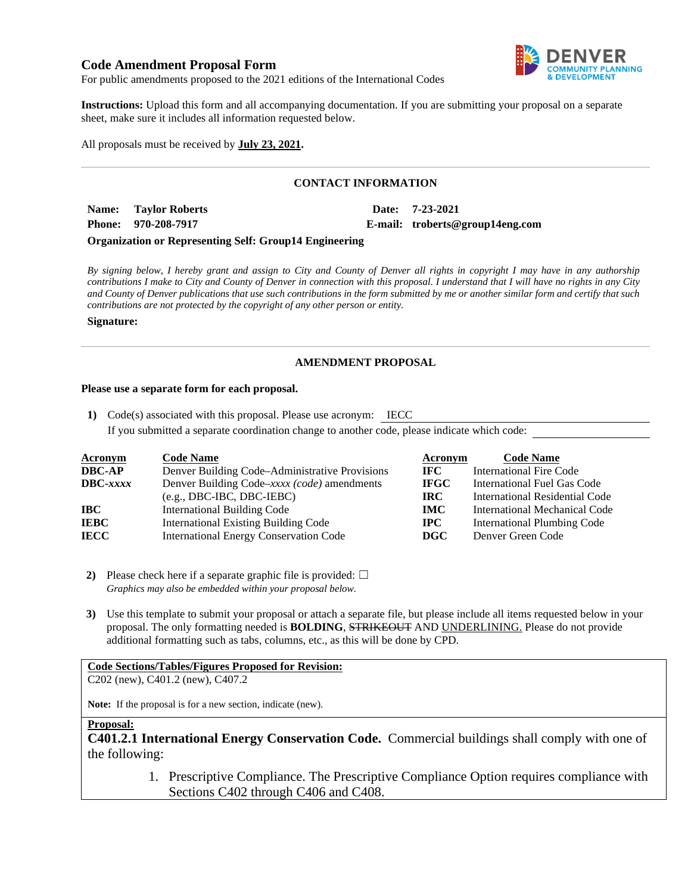## **Code Amendment Proposal Form**



For public amendments proposed to the 2021 editions of the International Codes

**Instructions:** Upload this form and all accompanying documentation. If you are submitting your proposal on a separate sheet, make sure it includes all information requested below.

All proposals must be received by **July 23, 2021.** 

## **CONTACT INFORMATION**

**Name: Taylor Roberts Date: 7-23-2021 Phone: 970-208-7917 E-mail: troberts@group14eng.com** 

**Organization or Representing Self: Group14 Engineering** 

*By signing below, I hereby grant and assign to City and County of Denver all rights in copyright I may have in any authorship contributions I make to City and County of Denver in connection with this proposal. I understand that I will have no rights in any City and County of Denver publications that use such contributions in the form submitted by me or another similar form and certify that such contributions are not protected by the copyright of any other person or entity.* 

#### **Signature:**

## **AMENDMENT PROPOSAL**

### **Please use a separate form for each proposal.**

**1)** Code(s) associated with this proposal. Please use acronym: IECC If you submitted a separate coordination change to another code, please indicate which code:

| <b>Acronym</b>    | <b>Code Name</b>                               | Acronym     | <b>Code Name</b>               |
|-------------------|------------------------------------------------|-------------|--------------------------------|
| <b>DBC-AP</b>     | Denver Building Code–Administrative Provisions | IFC-        | <b>International Fire Code</b> |
| $\text{DBC}-xxxx$ | Denver Building Code–xxxx (code) amendments    | <b>IFGC</b> | International Fuel Gas Code    |
|                   | $(e.g., DBC-IBC, DBC-IEBC)$                    | IRC-        | International Residential Code |
| <b>IBC</b>        | International Building Code                    | <b>IMC</b>  | International Mechanical Code  |
| <b>IEBC</b>       | <b>International Existing Building Code</b>    | $\bf IPC$   | International Plumbing Code    |
| <b>IECC</b>       | <b>International Energy Conservation Code</b>  | DGC         | Denver Green Code              |

**2)** Please check here if a separate graphic file is provided:  $\Box$ *Graphics may also be embedded within your proposal below.* 

**3)** Use this template to submit your proposal or attach a separate file, but please include all items requested below in your proposal. The only formatting needed is **BOLDING**, STRIKEOUT AND UNDERLINING. Please do not provide additional formatting such as tabs, columns, etc., as this will be done by CPD.

## **Code Sections/Tables/Figures Proposed for Revision:**

C202 (new), C401.2 (new), C407.2

**Note:** If the proposal is for a new section, indicate (new).

### **Proposal:**

**C401.2.1 International Energy Conservation Code.** Commercial buildings shall comply with one of the following:

> 1. Prescriptive Compliance. The Prescriptive Compliance Option requires compliance with Sections C402 through C406 and C408.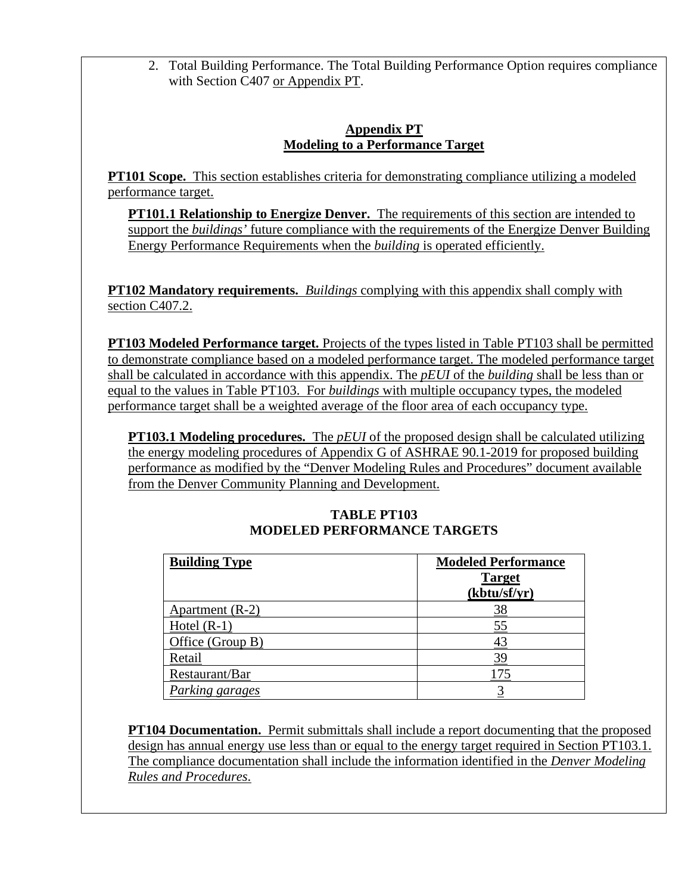2. Total Building Performance. The Total Building Performance Option requires compliance with Section C407 or Appendix PT.

## **Appendix PT Modeling to a Performance Target**

**PT101 Scope.** This section establishes criteria for demonstrating compliance utilizing a modeled performance target.

**PT101.1 Relationship to Energize Denver.** The requirements of this section are intended to support the *buildings'* future compliance with the requirements of the Energize Denver Building Energy Performance Requirements when the *building* is operated efficiently.

**PT102 Mandatory requirements.** *Buildings* complying with this appendix shall comply with section C407.2.

**PT103 Modeled Performance target.** Projects of the types listed in Table PT103 shall be permitted to demonstrate compliance based on a modeled performance target. The modeled performance target shall be calculated in accordance with this appendix. The *pEUI* of the *building* shall be less than or equal to the values in Table PT103. For *buildings* with multiple occupancy types, the modeled performance target shall be a weighted average of the floor area of each occupancy type.

**PT103.1 Modeling procedures.** The *pEUI* of the proposed design shall be calculated utilizing the energy modeling procedures of Appendix G of ASHRAE 90.1-2019 for proposed building performance as modified by the "Denver Modeling Rules and Procedures" document available from the Denver Community Planning and Development.

# **TABLE PT103 MODELED PERFORMANCE TARGETS**

| <b>Building Type</b>   | <b>Modeled Performance</b><br><b>Target</b> |  |
|------------------------|---------------------------------------------|--|
|                        | (kbtu/sf/yr)                                |  |
| Apartment (R-2)        |                                             |  |
| Hotel $(R-1)$          | 55                                          |  |
| Office (Group B)       |                                             |  |
| Retail                 | 39                                          |  |
| Restaurant/Bar         |                                             |  |
| <b>Parking garages</b> |                                             |  |

**PT104 Documentation.** Permit submittals shall include a report documenting that the proposed design has annual energy use less than or equal to the energy target required in Section PT103.1. The compliance documentation shall include the information identified in the *Denver Modeling Rules and Procedures*.